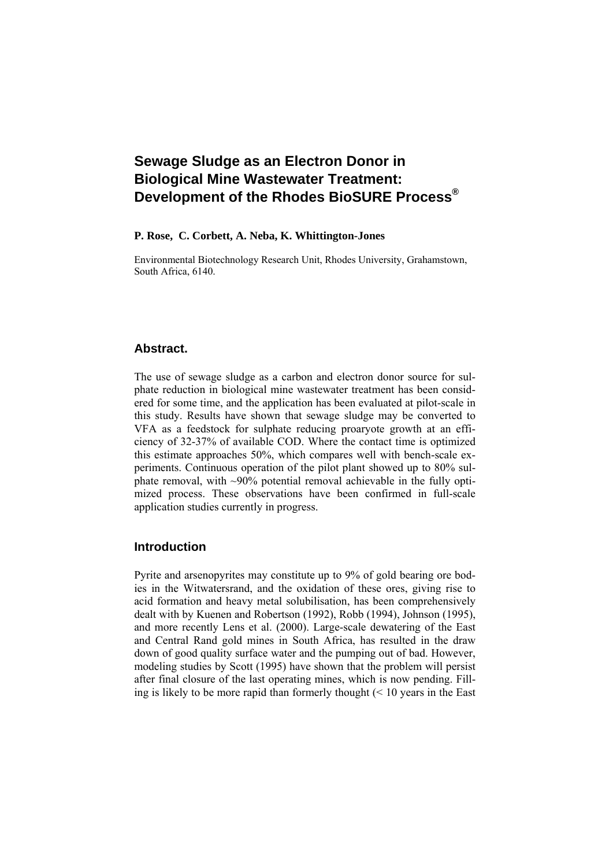# **Sewage Sludge as an Electron Donor in Biological Mine Wastewater Treatment: Development of the Rhodes BioSURE Process®**

#### **P. Rose, C. Corbett, A. Neba, K. Whittington-Jones**

Environmental Biotechnology Research Unit, Rhodes University, Grahamstown, South Africa, 6140.

## **Abstract.**

The use of sewage sludge as a carbon and electron donor source for sulphate reduction in biological mine wastewater treatment has been considered for some time, and the application has been evaluated at pilot-scale in this study. Results have shown that sewage sludge may be converted to VFA as a feedstock for sulphate reducing proaryote growth at an efficiency of 32-37% of available COD. Where the contact time is optimized this estimate approaches 50%, which compares well with bench-scale experiments. Continuous operation of the pilot plant showed up to 80% sulphate removal, with  $\sim 90\%$  potential removal achievable in the fully optimized process. These observations have been confirmed in full-scale application studies currently in progress.

## **Introduction**

Pyrite and arsenopyrites may constitute up to 9% of gold bearing ore bodies in the Witwatersrand, and the oxidation of these ores, giving rise to acid formation and heavy metal solubilisation, has been comprehensively dealt with by Kuenen and Robertson (1992), Robb (1994), Johnson (1995), and more recently Lens et al. (2000). Large-scale dewatering of the East and Central Rand gold mines in South Africa, has resulted in the draw down of good quality surface water and the pumping out of bad. However, modeling studies by Scott (1995) have shown that the problem will persist after final closure of the last operating mines, which is now pending. Filling is likely to be more rapid than formerly thought (< 10 years in the East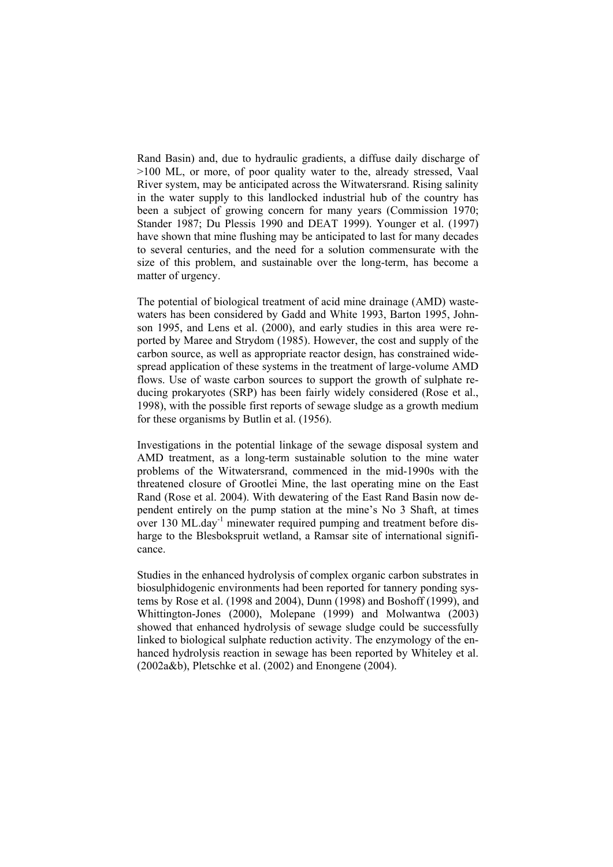Rand Basin) and, due to hydraulic gradients, a diffuse daily discharge of >100 ML, or more, of poor quality water to the, already stressed, Vaal River system, may be anticipated across the Witwatersrand. Rising salinity in the water supply to this landlocked industrial hub of the country has been a subject of growing concern for many years (Commission 1970; Stander 1987; Du Plessis 1990 and DEAT 1999). Younger et al. (1997) have shown that mine flushing may be anticipated to last for many decades to several centuries, and the need for a solution commensurate with the size of this problem, and sustainable over the long-term, has become a matter of urgency.

The potential of biological treatment of acid mine drainage (AMD) wastewaters has been considered by Gadd and White 1993, Barton 1995, Johnson 1995, and Lens et al. (2000), and early studies in this area were reported by Maree and Strydom (1985). However, the cost and supply of the carbon source, as well as appropriate reactor design, has constrained widespread application of these systems in the treatment of large-volume AMD flows. Use of waste carbon sources to support the growth of sulphate reducing prokaryotes (SRP) has been fairly widely considered (Rose et al., 1998), with the possible first reports of sewage sludge as a growth medium for these organisms by Butlin et al. (1956).

Investigations in the potential linkage of the sewage disposal system and AMD treatment, as a long-term sustainable solution to the mine water problems of the Witwatersrand, commenced in the mid-1990s with the threatened closure of Grootlei Mine, the last operating mine on the East Rand (Rose et al. 2004). With dewatering of the East Rand Basin now dependent entirely on the pump station at the mine's No 3 Shaft, at times over 130 ML.day-1 minewater required pumping and treatment before disharge to the Blesbokspruit wetland, a Ramsar site of international significance.

Studies in the enhanced hydrolysis of complex organic carbon substrates in biosulphidogenic environments had been reported for tannery ponding systems by Rose et al. (1998 and 2004), Dunn (1998) and Boshoff (1999), and Whittington-Jones (2000), Molepane (1999) and Molwantwa (2003) showed that enhanced hydrolysis of sewage sludge could be successfully linked to biological sulphate reduction activity. The enzymology of the enhanced hydrolysis reaction in sewage has been reported by Whiteley et al. (2002a&b), Pletschke et al. (2002) and Enongene (2004).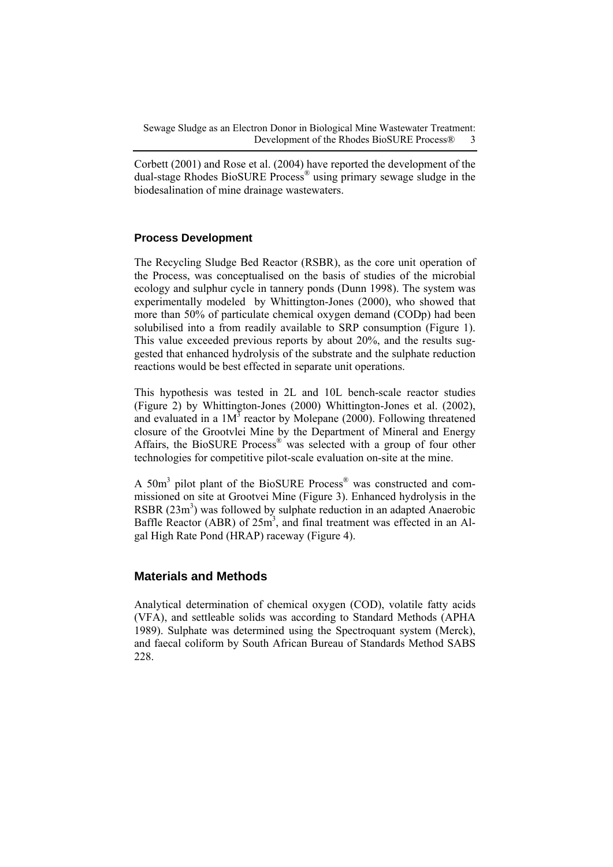Corbett (2001) and Rose et al. (2004) have reported the development of the dual-stage Rhodes BioSURE Process® using primary sewage sludge in the biodesalination of mine drainage wastewaters.

## **Process Development**

The Recycling Sludge Bed Reactor (RSBR), as the core unit operation of the Process, was conceptualised on the basis of studies of the microbial ecology and sulphur cycle in tannery ponds (Dunn 1998). The system was experimentally modeled by Whittington-Jones (2000), who showed that more than 50% of particulate chemical oxygen demand (CODp) had been solubilised into a from readily available to SRP consumption (Figure 1). This value exceeded previous reports by about 20%, and the results suggested that enhanced hydrolysis of the substrate and the sulphate reduction reactions would be best effected in separate unit operations.

This hypothesis was tested in 2L and 10L bench-scale reactor studies (Figure 2) by Whittington-Jones (2000) Whittington-Jones et al. (2002), and evaluated in a  $1M<sup>3</sup>$  reactor by Molepane (2000). Following threatened closure of the Grootvlei Mine by the Department of Mineral and Energy Affairs, the BioSURE Process<sup>®</sup> was selected with a group of four other technologies for competitive pilot-scale evaluation on-site at the mine.

A 50 $m<sup>3</sup>$  pilot plant of the BioSURE Process<sup>®</sup> was constructed and commissioned on site at Grootvei Mine (Figure 3). Enhanced hydrolysis in the RSBR (23m<sup>3</sup>) was followed by sulphate reduction in an adapted Anaerobic Baffle Reactor (ABR) of  $25m^3$ , and final treatment was effected in an Algal High Rate Pond (HRAP) raceway (Figure 4).

## **Materials and Methods**

Analytical determination of chemical oxygen (COD), volatile fatty acids (VFA), and settleable solids was according to Standard Methods (APHA 1989). Sulphate was determined using the Spectroquant system (Merck), and faecal coliform by South African Bureau of Standards Method SABS 228.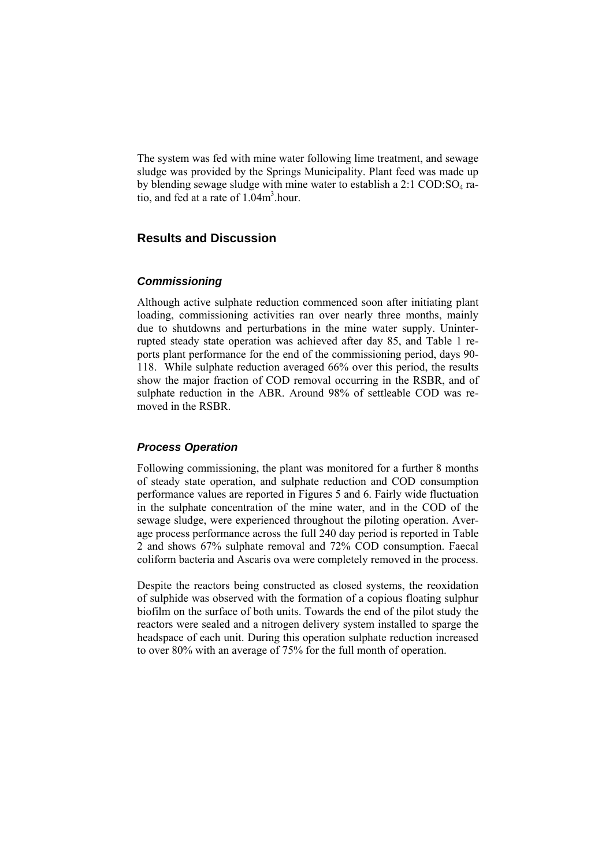The system was fed with mine water following lime treatment, and sewage sludge was provided by the Springs Municipality. Plant feed was made up by blending sewage sludge with mine water to establish a  $2:1$  COD: $SO<sub>4</sub>$  ratio, and fed at a rate of 1.04m3 .hour.

## **Results and Discussion**

## *Commissioning*

Although active sulphate reduction commenced soon after initiating plant loading, commissioning activities ran over nearly three months, mainly due to shutdowns and perturbations in the mine water supply. Uninterrupted steady state operation was achieved after day 85, and Table 1 reports plant performance for the end of the commissioning period, days 90- 118. While sulphate reduction averaged 66% over this period, the results show the major fraction of COD removal occurring in the RSBR, and of sulphate reduction in the ABR. Around 98% of settleable COD was removed in the RSBR.

## *Process Operation*

Following commissioning, the plant was monitored for a further 8 months of steady state operation, and sulphate reduction and COD consumption performance values are reported in Figures 5 and 6. Fairly wide fluctuation in the sulphate concentration of the mine water, and in the COD of the sewage sludge, were experienced throughout the piloting operation. Average process performance across the full 240 day period is reported in Table 2 and shows 67% sulphate removal and 72% COD consumption. Faecal coliform bacteria and Ascaris ova were completely removed in the process.

Despite the reactors being constructed as closed systems, the reoxidation of sulphide was observed with the formation of a copious floating sulphur biofilm on the surface of both units. Towards the end of the pilot study the reactors were sealed and a nitrogen delivery system installed to sparge the headspace of each unit. During this operation sulphate reduction increased to over 80% with an average of 75% for the full month of operation.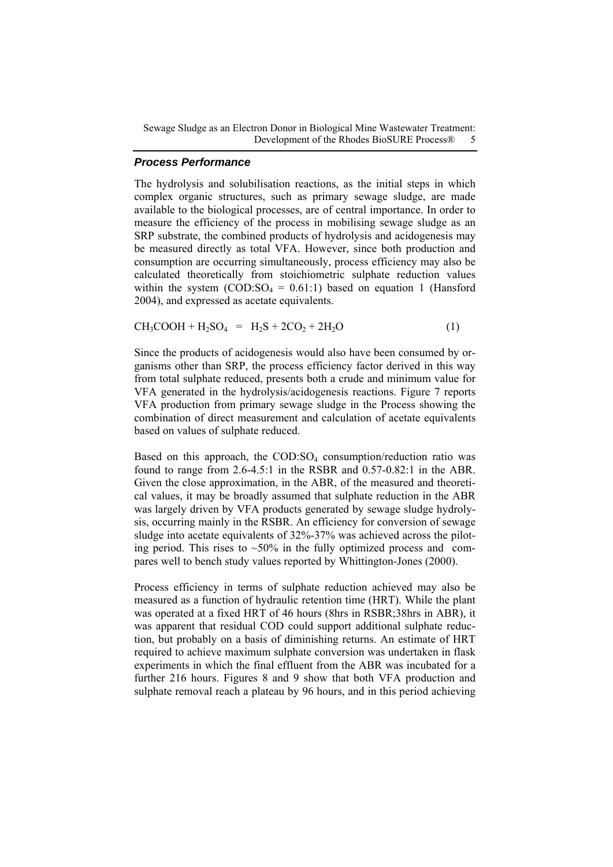Sewage Sludge as an Electron Donor in Biological Mine Wastewater Treatment: Development of the Rhodes BioSURE Process<sup>®</sup> 5

## *Process Performance*

The hydrolysis and solubilisation reactions, as the initial steps in which complex organic structures, such as primary sewage sludge, are made available to the biological processes, are of central importance. In order to measure the efficiency of the process in mobilising sewage sludge as an SRP substrate, the combined products of hydrolysis and acidogenesis may be measured directly as total VFA. However, since both production and consumption are occurring simultaneously, process efficiency may also be calculated theoretically from stoichiometric sulphate reduction values within the system  $(COD:SO_4 = 0.61:1)$  based on equation 1 (Hansford 2004), and expressed as acetate equivalents.

$$
CH_3COOH + H_2SO_4 = H_2S + 2CO_2 + 2H_2O
$$
 (1)

Since the products of acidogenesis would also have been consumed by organisms other than SRP, the process efficiency factor derived in this way from total sulphate reduced, presents both a crude and minimum value for VFA generated in the hydrolysis/acidogenesis reactions. Figure 7 reports VFA production from primary sewage sludge in the Process showing the combination of direct measurement and calculation of acetate equivalents based on values of sulphate reduced.

Based on this approach, the  $\text{COD:SO}_4$  consumption/reduction ratio was found to range from 2.6-4.5:1 in the RSBR and 0.57-0.82:1 in the ABR. Given the close approximation, in the ABR, of the measured and theoretical values, it may be broadly assumed that sulphate reduction in the ABR was largely driven by VFA products generated by sewage sludge hydrolysis, occurring mainly in the RSBR. An efficiency for conversion of sewage sludge into acetate equivalents of 32%-37% was achieved across the piloting period. This rises to  $\sim$  50% in the fully optimized process and compares well to bench study values reported by Whittington-Jones (2000).

Process efficiency in terms of sulphate reduction achieved may also be measured as a function of hydraulic retention time (HRT). While the plant was operated at a fixed HRT of 46 hours (8hrs in RSBR;38hrs in ABR), it was apparent that residual COD could support additional sulphate reduction, but probably on a basis of diminishing returns. An estimate of HRT required to achieve maximum sulphate conversion was undertaken in flask experiments in which the final effluent from the ABR was incubated for a further 216 hours. Figures 8 and 9 show that both VFA production and sulphate removal reach a plateau by 96 hours, and in this period achieving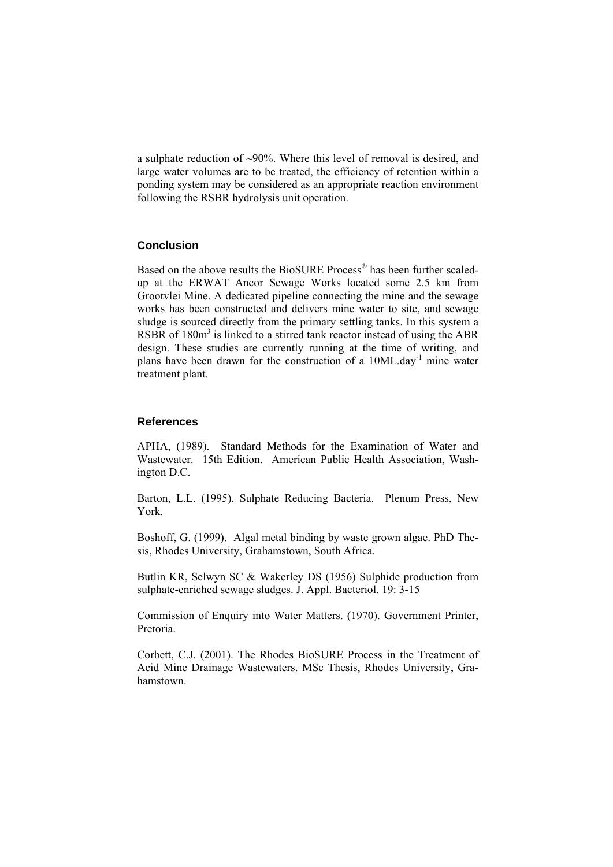a sulphate reduction of ~90%. Where this level of removal is desired, and large water volumes are to be treated, the efficiency of retention within a ponding system may be considered as an appropriate reaction environment following the RSBR hydrolysis unit operation.

## **Conclusion**

Based on the above results the BioSURE Process® has been further scaledup at the ERWAT Ancor Sewage Works located some 2.5 km from Grootvlei Mine. A dedicated pipeline connecting the mine and the sewage works has been constructed and delivers mine water to site, and sewage sludge is sourced directly from the primary settling tanks. In this system a RSBR of 180m<sup>3</sup> is linked to a stirred tank reactor instead of using the ABR design. These studies are currently running at the time of writing, and plans have been drawn for the construction of a  $10ML \cdot day^{-1}$  mine water treatment plant.

## **References**

APHA, (1989). Standard Methods for the Examination of Water and Wastewater. 15th Edition. American Public Health Association, Washington D.C.

Barton, L.L. (1995). Sulphate Reducing Bacteria. Plenum Press, New York.

Boshoff, G. (1999). Algal metal binding by waste grown algae. PhD Thesis, Rhodes University, Grahamstown, South Africa.

Butlin KR, Selwyn SC & Wakerley DS (1956) Sulphide production from sulphate-enriched sewage sludges. J. Appl. Bacteriol. 19: 3-15

Commission of Enquiry into Water Matters. (1970). Government Printer, Pretoria.

Corbett, C.J. (2001). The Rhodes BioSURE Process in the Treatment of Acid Mine Drainage Wastewaters. MSc Thesis, Rhodes University, Grahamstown.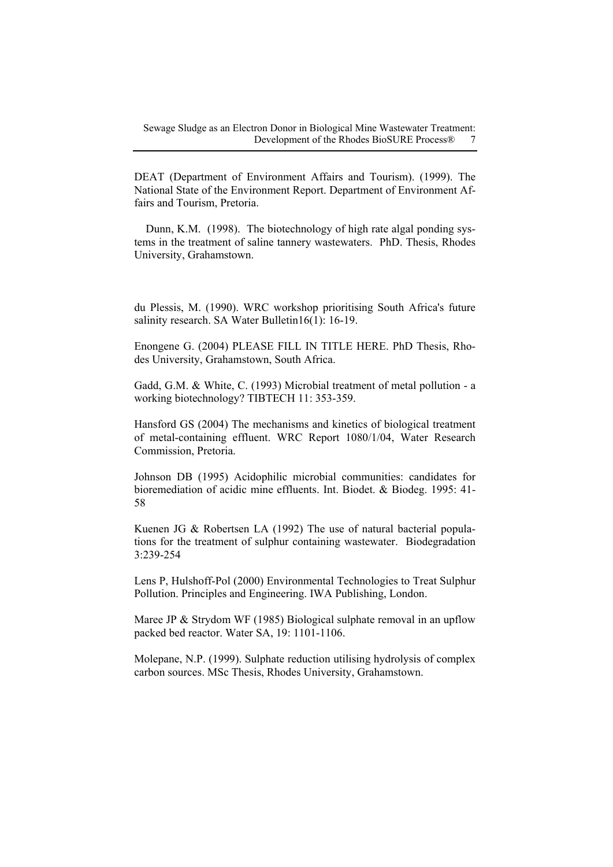DEAT (Department of Environment Affairs and Tourism). (1999). The National State of the Environment Report. Department of Environment Affairs and Tourism, Pretoria.

Dunn, K.M. (1998). The biotechnology of high rate algal ponding systems in the treatment of saline tannery wastewaters. PhD. Thesis, Rhodes University, Grahamstown.

du Plessis, M. (1990). WRC workshop prioritising South Africa's future salinity research. SA Water Bulletin16(1): 16-19.

Enongene G. (2004) PLEASE FILL IN TITLE HERE. PhD Thesis, Rhodes University, Grahamstown, South Africa.

Gadd, G.M. & White, C. (1993) Microbial treatment of metal pollution - a working biotechnology? TIBTECH 11: 353-359.

Hansford GS (2004) The mechanisms and kinetics of biological treatment of metal-containing effluent. WRC Report 1080/1/04, Water Research Commission, Pretoria.

Johnson DB (1995) Acidophilic microbial communities: candidates for bioremediation of acidic mine effluents. Int. Biodet. & Biodeg. 1995: 41- 58

Kuenen JG & Robertsen LA (1992) The use of natural bacterial populations for the treatment of sulphur containing wastewater. Biodegradation 3:239-254

Lens P, Hulshoff-Pol (2000) Environmental Technologies to Treat Sulphur Pollution. Principles and Engineering. IWA Publishing, London.

Maree JP & Strydom WF (1985) Biological sulphate removal in an upflow packed bed reactor. Water SA, 19: 1101-1106.

Molepane, N.P. (1999). Sulphate reduction utilising hydrolysis of complex carbon sources. MSc Thesis, Rhodes University, Grahamstown.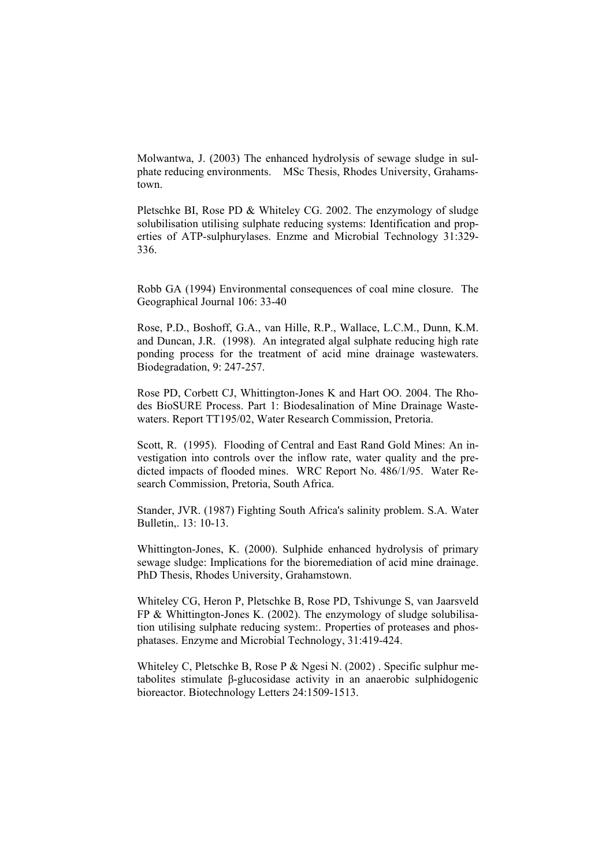Molwantwa, J. (2003) The enhanced hydrolysis of sewage sludge in sulphate reducing environments. MSc Thesis, Rhodes University, Grahamstown.

Pletschke BI, Rose PD & Whiteley CG. 2002. The enzymology of sludge solubilisation utilising sulphate reducing systems: Identification and properties of ATP-sulphurylases. Enzme and Microbial Technology 31:329- 336.

Robb GA (1994) Environmental consequences of coal mine closure. The Geographical Journal 106: 33-40

Rose, P.D., Boshoff, G.A., van Hille, R.P., Wallace, L.C.M., Dunn, K.M. and Duncan, J.R. (1998). An integrated algal sulphate reducing high rate ponding process for the treatment of acid mine drainage wastewaters. Biodegradation, 9: 247-257.

Rose PD, Corbett CJ, Whittington-Jones K and Hart OO. 2004. The Rhodes BioSURE Process. Part 1: Biodesalination of Mine Drainage Wastewaters. Report TT195/02, Water Research Commission, Pretoria.

Scott, R. (1995). Flooding of Central and East Rand Gold Mines: An investigation into controls over the inflow rate, water quality and the predicted impacts of flooded mines. WRC Report No. 486/1/95. Water Research Commission, Pretoria, South Africa.

Stander, JVR. (1987) Fighting South Africa's salinity problem. S.A. Water Bulletin,. 13: 10-13.

Whittington-Jones, K. (2000). Sulphide enhanced hydrolysis of primary sewage sludge: Implications for the bioremediation of acid mine drainage. PhD Thesis, Rhodes University, Grahamstown.

Whiteley CG, Heron P, Pletschke B, Rose PD, Tshivunge S, van Jaarsveld FP & Whittington-Jones K. (2002). The enzymology of sludge solubilisation utilising sulphate reducing system:. Properties of proteases and phosphatases. Enzyme and Microbial Technology, 31:419-424.

Whiteley C, Pletschke B, Rose P & Ngesi N. (2002) . Specific sulphur metabolites stimulate β-glucosidase activity in an anaerobic sulphidogenic bioreactor. Biotechnology Letters 24:1509-1513.